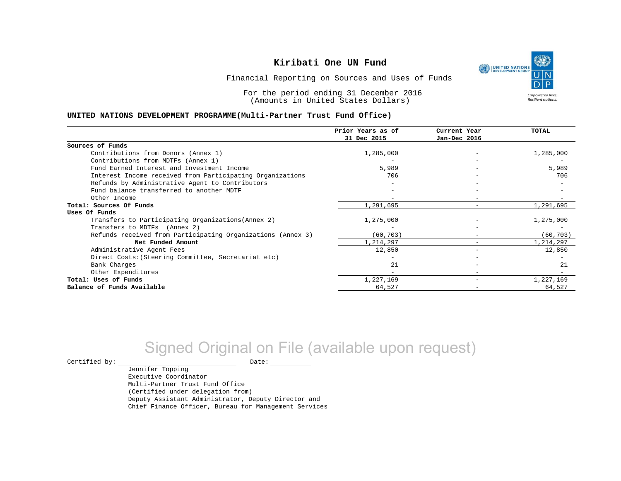UNITED NATIONS **Empowered lives** Resilient nations.

Financial Reporting on Sources and Uses of Funds

For the period ending 31 December 2016 (Amounts in United States Dollars)

#### **UNITED NATIONS DEVELOPMENT PROGRAMME(Multi-Partner Trust Fund Office)**

|                                                             | Prior Years as of<br>31 Dec 2015 | Current Year<br>Jan-Dec 2016 | TOTAL     |
|-------------------------------------------------------------|----------------------------------|------------------------------|-----------|
|                                                             |                                  |                              |           |
| Sources of Funds                                            |                                  |                              |           |
| Contributions from Donors (Annex 1)                         | 1,285,000                        |                              | 1,285,000 |
| Contributions from MDTFs (Annex 1)                          |                                  |                              |           |
| Fund Earned Interest and Investment Income                  | 5,989                            |                              | 5,989     |
| Interest Income received from Participating Organizations   | 706                              |                              | 706       |
| Refunds by Administrative Agent to Contributors             |                                  |                              |           |
| Fund balance transferred to another MDTF                    |                                  |                              |           |
| Other Income                                                |                                  |                              |           |
| Total: Sources Of Funds                                     | 1,291,695                        |                              | 1,291,695 |
| Uses Of Funds                                               |                                  |                              |           |
| Transfers to Participating Organizations (Annex 2)          | 1,275,000                        |                              | 1,275,000 |
| Transfers to MDTFs (Annex 2)                                |                                  |                              |           |
| Refunds received from Participating Organizations (Annex 3) | (60,703)                         |                              | (60, 703) |
| Net Funded Amount                                           | 1,214,297                        |                              | 1,214,297 |
| Administrative Agent Fees                                   | 12,850                           | $\overline{\phantom{0}}$     | 12,850    |
| Direct Costs: (Steering Committee, Secretariat etc)         |                                  |                              |           |
| Bank Charges                                                | 21                               |                              | 21        |
| Other Expenditures                                          |                                  |                              |           |
| Total: Uses of Funds                                        | 1,227,169                        |                              | 1,227,169 |
| Balance of Funds Available                                  | 64,527                           |                              | 64,527    |

# Signed Original on File (available upon request)

 $\begin{tabular}{ccccc} \multicolumn{2}{c|}{\textbf{Certified by:}} & \multicolumn{2}{c|}{\textbf{Date:}} \end{tabular}$ 

Jennifer Topping Executive Coordinator Multi-Partner Trust Fund Office (Certified under delegation from) Deputy Assistant Administrator, Deputy Director and Chief Finance Officer, Bureau for Management Services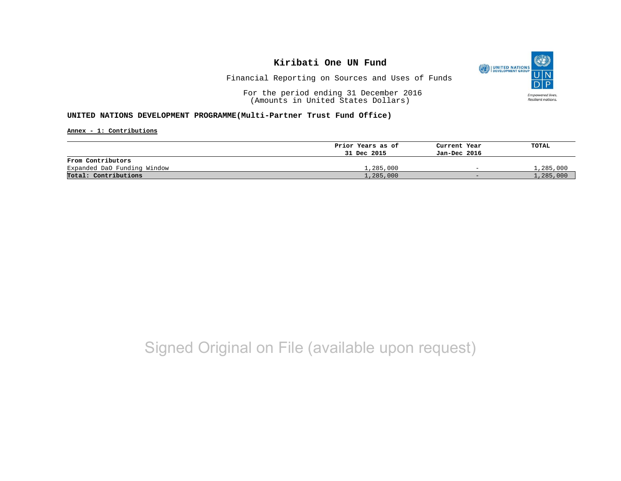

Financial Reporting on Sources and Uses of Funds

For the period ending 31 December 2016 (Amounts in United States Dollars)

### **UNITED NATIONS DEVELOPMENT PROGRAMME(Multi-Partner Trust Fund Office)**

**Annex - 1: Contributions**

|                             | Prior Years as of | Current Year             | TOTAL     |
|-----------------------------|-------------------|--------------------------|-----------|
|                             | 31 Dec 2015       | Jan-Dec 2016             |           |
| From Contributors           |                   |                          |           |
| Expanded DaO Funding Window | 1,285,000         | $\overline{\phantom{0}}$ | l,285,000 |
| Total: Contributions        | 1,285,000         | $-$                      | 1,285,000 |

# Signed Original on File (available upon request)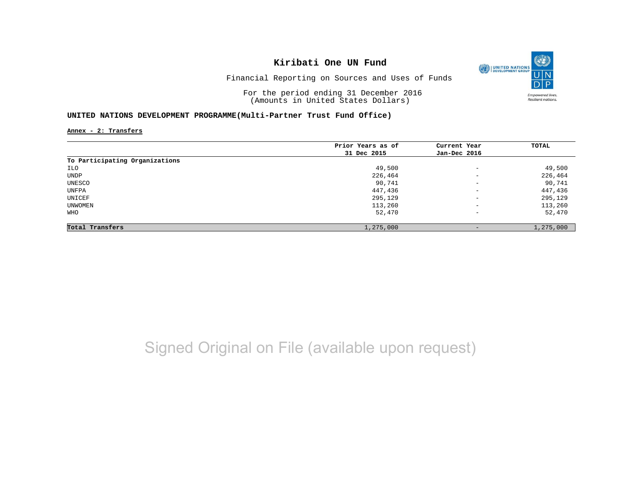

Financial Reporting on Sources and Uses of Funds

For the period ending 31 December 2016 (Amounts in United States Dollars)

### **UNITED NATIONS DEVELOPMENT PROGRAMME(Multi-Partner Trust Fund Office)**

**Annex - 2: Transfers**

|                                | Prior Years as of | Current Year             | TOTAL     |
|--------------------------------|-------------------|--------------------------|-----------|
|                                | 31 Dec 2015       | Jan-Dec 2016             |           |
| To Participating Organizations |                   |                          |           |
| ILO                            | 49,500            | $\overline{\phantom{a}}$ | 49,500    |
| UNDP                           | 226,464           | $\overline{\phantom{a}}$ | 226,464   |
| UNESCO                         | 90,741            | $\overline{\phantom{m}}$ | 90,741    |
| UNFPA                          | 447,436           | $\overline{\phantom{a}}$ | 447,436   |
| UNICEF                         | 295,129           | $\overline{\phantom{m}}$ | 295,129   |
| UNWOMEN                        | 113,260           | $\overline{\phantom{a}}$ | 113,260   |
| WHO                            | 52,470            | $\overline{\phantom{a}}$ | 52,470    |
| Total Transfers                | 1,275,000         | $\qquad \qquad -$        | 1,275,000 |

# Signed Original on File (available upon request)